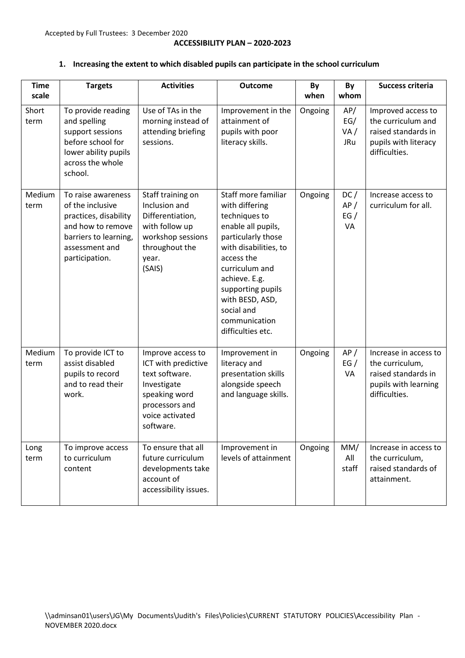## **1. Increasing the extent to which disabled pupils can participate in the school curriculum**

| <b>Time</b><br>scale | <b>Targets</b>                                                                                                                                    | <b>Activities</b>                                                                                                                            | <b>Outcome</b>                                                                                                                                                                                                                                                           | By<br>when | By<br>whom                      | <b>Success criteria</b>                                                                                  |
|----------------------|---------------------------------------------------------------------------------------------------------------------------------------------------|----------------------------------------------------------------------------------------------------------------------------------------------|--------------------------------------------------------------------------------------------------------------------------------------------------------------------------------------------------------------------------------------------------------------------------|------------|---------------------------------|----------------------------------------------------------------------------------------------------------|
| Short<br>term        | To provide reading<br>and spelling<br>support sessions<br>before school for<br>lower ability pupils<br>across the whole<br>school.                | Use of TAs in the<br>morning instead of<br>attending briefing<br>sessions.                                                                   | Improvement in the<br>attainment of<br>pupils with poor<br>literacy skills.                                                                                                                                                                                              | Ongoing    | AP/<br>EG/<br>VA/<br><b>JRu</b> | Improved access to<br>the curriculum and<br>raised standards in<br>pupils with literacy<br>difficulties. |
| Medium<br>term       | To raise awareness<br>of the inclusive<br>practices, disability<br>and how to remove<br>barriers to learning,<br>assessment and<br>participation. | Staff training on<br>Inclusion and<br>Differentiation,<br>with follow up<br>workshop sessions<br>throughout the<br>year.<br>(SAIS)           | Staff more familiar<br>with differing<br>techniques to<br>enable all pupils,<br>particularly those<br>with disabilities, to<br>access the<br>curriculum and<br>achieve. E.g.<br>supporting pupils<br>with BESD, ASD,<br>social and<br>communication<br>difficulties etc. | Ongoing    | DC/<br>AP/<br>EG/<br>VA         | Increase access to<br>curriculum for all.                                                                |
| Medium<br>term       | To provide ICT to<br>assist disabled<br>pupils to record<br>and to read their<br>work.                                                            | Improve access to<br>ICT with predictive<br>text software.<br>Investigate<br>speaking word<br>processors and<br>voice activated<br>software. | Improvement in<br>literacy and<br>presentation skills<br>alongside speech<br>and language skills.                                                                                                                                                                        | Ongoing    | AP/<br>EG/<br>VA                | Increase in access to<br>the curriculum,<br>raised standards in<br>pupils with learning<br>difficulties. |
| Long<br>term         | To improve access<br>to curriculum<br>content                                                                                                     | To ensure that all<br>future curriculum<br>developments take<br>account of<br>accessibility issues.                                          | Improvement in<br>levels of attainment                                                                                                                                                                                                                                   | Ongoing    | MM/<br>All<br>staff             | Increase in access to<br>the curriculum,<br>raised standards of<br>attainment.                           |